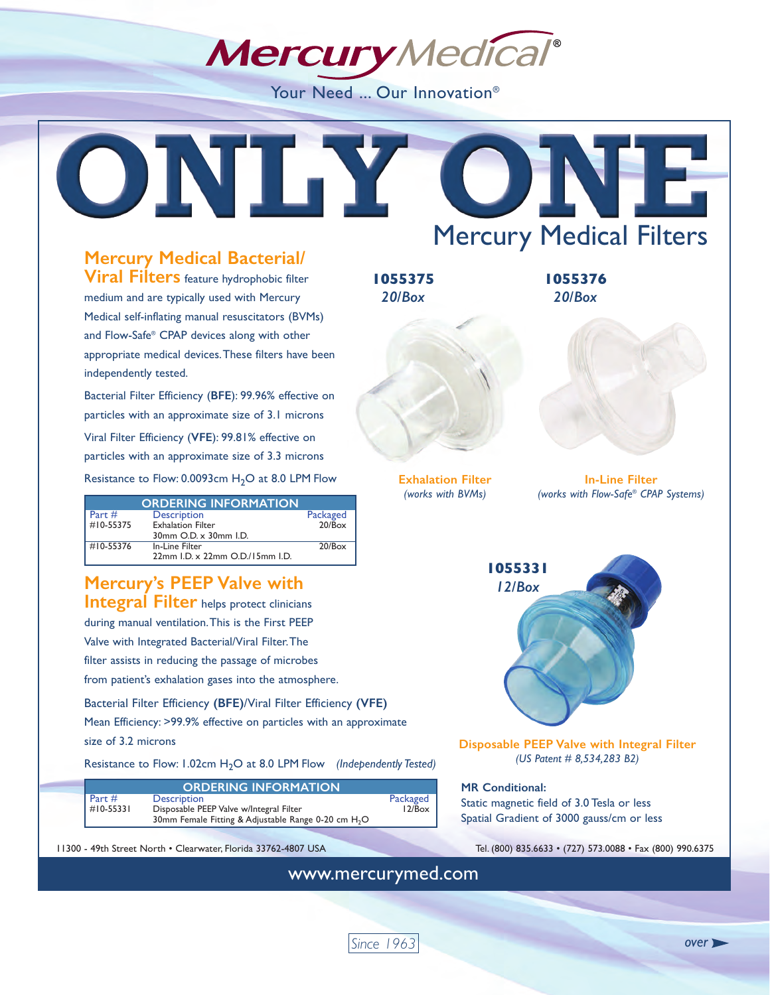**Mercury** Medical®

Your Need ... Our Innovation<sup>®</sup>

## **Mercury Medical Bacterial/**

**Viral Filters** feature hydrophobic filter medium and are typically used with Mercury Medical self-inflating manual resuscitators (BVMs) and Flow-Safe® CPAP devices along with other appropriate medical devices. These filters have been independently tested.

Bacterial Filter Efficiency (**BFE**): 99.96% effective on particles with an approximate size of 3.1 microns Viral Filter Efficiency (**VFE**): 99.81% effective on particles with an approximate size of 3.3 microns Resistance to Flow:  $0.0093$ cm  $H<sub>2</sub>O$  at 8.0 LPM Flow

|                | <b>ORDERING INFORMATION</b>     |          |
|----------------|---------------------------------|----------|
| Part#          | <b>Description</b>              | Packaged |
| $\#10 - 55375$ | <b>Exhalation Filter</b>        | 20/Box   |
|                | 30mm O.D. x 30mm I.D.           |          |
| $\#10 - 55376$ | In-Line Filter                  | 20/Box   |
|                | 22mm I.D. x 22mm O.D./15mm I.D. |          |

## **Mercury's PEEP Valve with Integral Filter** helps protect clinicians during manual ventilation. This is the First PEEP Valve with Integrated Bacterial/Viral Filter. The filter assists in reducing the passage of microbes from patient's exhalation gases into the atmosphere.

Bacterial Filter Efficiency **(BFE)**/Viral Filter Efficiency **(VFE)** Mean Efficiency: >99.9% effective on particles with an approximate size of 3.2 microns

Resistance to Flow: 1.02cm H<sub>2</sub>O at 8.0 LPM Flow *(Independently Tested)* 

|           | <b>ORDERING INFORMATION</b>                                     |          |
|-----------|-----------------------------------------------------------------|----------|
| Part #    | <b>Description</b>                                              | Packaged |
| #10-55331 | Disposable PEEP Valve w/Integral Filter                         | 12/Box   |
|           | 30mm Female Fitting & Adjustable Range 0-20 cm H <sub>2</sub> O |          |

11300 - 49th Street North • Clearwater, Florida 33762-4807 USA Tel. (800) 835.6633 • (727) 573.0088 • Fax (800) 990.6375

ONITY O Mercury Medical Filters **1055375 1055376** *20/Box 20/Box* **Exhalation Filter In-Line Filter** *(works with BVMs) (works with Flow-Safe® CPAP Systems)* **1055331** *12/Box* **Disposable PEEP Valve with Integral Filter** *(US Patent # 8,534,283 B2)* **MR Conditional:**  Static magnetic field of 3.0 Tesla or less Spatial Gradient of 3000 gauss/cm or less

www.mercurymed.com

*Since 1963*